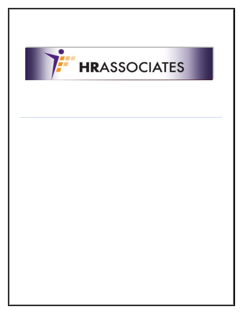

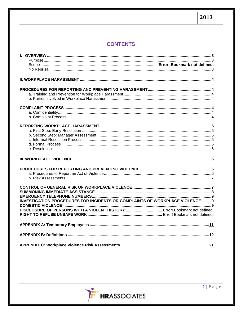# **CONTENTS**

| <b>INVESTIGATION PROCEDURES FOR INCIDENTS OR COMPLAINTS OF WORKPLACE VIOLENCE9</b> |  |
|------------------------------------------------------------------------------------|--|
|                                                                                    |  |
|                                                                                    |  |
|                                                                                    |  |
|                                                                                    |  |
|                                                                                    |  |
|                                                                                    |  |
|                                                                                    |  |
|                                                                                    |  |
|                                                                                    |  |

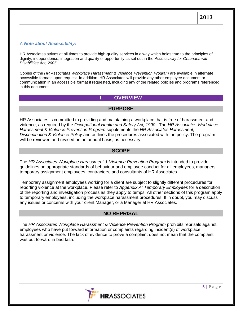## *A Note about Accessibility:*

HR Associates strives at all times to provide high-quality services in a way which holds true to the principles of dignity, independence, integration and quality of opportunity as set out in the *Accessibility for Ontarians with Disabilities Act, 2005*.

Copies of the HR Associates Workplace Harassment & Violence Prevention Program are available in alternate accessible formats upon request. In addition, HR Associates will provide any other employee document or communication in an accessible format if requested, including any of the related policies and programs referenced in this document.

# **I. OVERVIEW**

## **PURPOSE**

<span id="page-2-0"></span>HR Associates is committed to providing and maintaining a workplace that is free of harassment and violence, as required by the *Occupational Health and Safety Act, 1990*. The *HR Associates Workplace Harassment & Violence Prevention Program* supplements the *HR Associates Harassment, Discrimination & Violence Policy* and outlines the procedures associated with the policy. The program will be reviewed and revised on an annual basis, as necessary.

## **SCOPE**

The HR Associates Workplace Harassment & Violence Prevention Program is intended to provide guidelines on appropriate standards of behaviour and employee conduct for all employees, managers, temporary assignment employees, contractors, and consultants of HR Associates.

Temporary assignment employees working for a client are subject to slightly different procedures for reporting violence at the workplace. Please refer to *Appendix A: Temporary Employees* for a description of the reporting and investigation process as they apply to temps. All other sections of this program apply to temporary employees, including the workplace harassment procedures. If in doubt, you may discuss any issues or concerns with your client Manager, or a Manager at HR Associates.

## **NO REPRISAL**

The HR Associates Workplace Harassment & Violence Prevention Program prohibits reprisals against employees who have put forward information or complaints regarding incident(s) of workplace harassment or violence. The lack of evidence to prove a complaint does not mean that the complaint was put forward in bad faith.

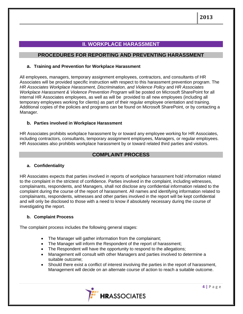# **II. WORKPLACE HARASSMENT**

## <span id="page-3-0"></span>**PROCEDURES FOR REPORTING AND PREVENTING HARASSMENT**

### <span id="page-3-2"></span><span id="page-3-1"></span>**a. Training and Prevention for Workplace Harassment**

All employees, managers, temporary assignment employees, contractors, and consultants of HR Associates will be provided specific instruction with respect to this harassment prevention program. The *HR Associates Workplace Harassment, Discrimination, and Violence Policy* and *HR Associates Workplace Harassment & Violence Prevention Program* will be posted on Microsoft SharePoint for all internal HR Associates employees, as well as will be provided to all new employees (including all temporary employees working for clients) as part of their regular employee orientation and training. Additional copies of the policies and programs can be found on Microsoft SharePoint, or by contacting a Manager.

### <span id="page-3-3"></span>**b. Parties involved in Workplace Harassment**

HR Associates prohibits workplace harassment by or toward any employee working for HR Associates, including contractors, consultants, temporary assignment employees, Managers, or regular employees. HR Associates also prohibits workplace harassment by or toward related third parties and visitors.

## **COMPLAINT PROCESS**

### <span id="page-3-5"></span><span id="page-3-4"></span>**a. Confidentiality**

<span id="page-3-6"></span>HR Associates expects that parties involved in reports of workplace harassment hold information related to the complaint in the strictest of confidence. Parties involved in the complaint, including witnesses, complainants, respondents, and Managers, shall not disclose any confidential information related to the complaint during the course of the report of harassment. All names and identifying information related to complainants, respondents, witnesses and other parties involved in the report will be kept confidential and will only be disclosed to those with a need to know if absolutely necessary during the course of investigating the report.

## **b. Complaint Process**

The complaint process includes the following general stages:

- The Manager will gather information from the complainant;
- The Manager will inform the Respondent of the report of harassment;
- The Respondent will have the opportunity to respond to the allegations;
- Management will consult with other Managers and parties involved to determine a suitable outcome;
- Should there exist a conflict of interest involving the parties in the report of harassment, Management will decide on an alternate course of action to reach a suitable outcome.

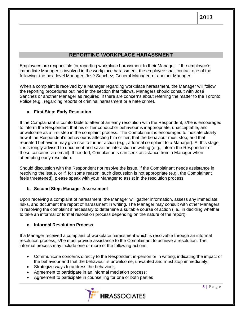## **REPORTING WORKPLACE HARASSMENT**

<span id="page-4-1"></span><span id="page-4-0"></span>Employees are responsible for reporting workplace harassment to their Manager. If the employee's immediate Manager is involved in the workplace harassment, the employee shall contact one of the following: the next level Manager, José Sanchez, General Manager, or another Manager.

When a complaint is received by a Manager regarding workplace harassment, the Manager will follow the reporting procedures outlined in the section that follows. Managers should consult with José Sanchez or another Manager as required, if there are concerns about referring the matter to the Toronto Police (e.g., regarding reports of criminal harassment or a hate crime).

## **a. First Step: Early Resolution**

If the Complainant is comfortable to attempt an early resolution with the Respondent, s/he is encouraged to inform the Respondent that his or her conduct or behaviour is inappropriate, unacceptable, and unwelcome as a first step in the complaint process. The Complainant is encouraged to indicate clearly how it the Respondent's behaviour is affecting him or her, that the behaviour must stop, and that repeated behaviour may give rise to further action (e.g., a formal complaint to a Manager). At this stage, it is strongly advised to document and save the interaction in writing (e.g., inform the Respondent of these concerns via email). If needed, Complainants can seek assistance from a Manager when attempting early resolution.

Should discussion with the Respondent not resolve the issue, if the Complainant needs assistance in resolving the issue, or if, for some reason, such discussion is not appropriate (e.g., the Complainant feels threatened), please speak with your Manager to assist in the resolution process.

## <span id="page-4-2"></span>**b. Second Step: Manager Assessment**

Upon receiving a complaint of harassment, the Manager will gather information, assess any immediate risks, and document the report of harassment in writing. The Manager may consult with other Managers in resolving the complaint if necessary to determine a suitable course of action (i.e., in deciding whether to take an informal or formal resolution process depending on the nature of the report).

## <span id="page-4-3"></span>**c. Informal Resolution Process**

If a Manager received a complaint of workplace harassment which is resolvable through an informal resolution process, s/he must provide assistance to the Complainant to achieve a resolution. The informal process may include one or more of the following actions:

- Communicate concerns directly to the Respondent in-person or in writing, indicating the impact of the behaviour and that the behaviour is unwelcome, unwanted and must stop immediately;
- Strategize ways to address the behaviour;
- Agreement to participate in an informal mediation process;
- Agreement to participate in counselling for one or both parties

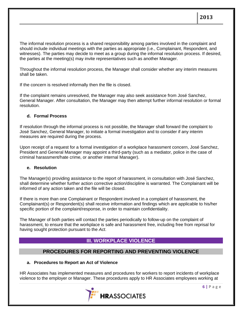The informal resolution process is a shared responsibility among parties involved in the complaint and should include individual meetings with the parties as appropriate (i.e., Complainant, Respondent, and witnesses). The parties may decide to meet as a group during the informal resolution process. If desired, the parties at the meeting(s) may invite representatives such as another Manager.

Throughout the informal resolution process, the Manager shall consider whether any interim measures shall be taken.

If the concern is resolved informally then the file is closed.

If the complaint remains unresolved, the Manager may also seek assistance from José Sanchez, General Manager. After consultation, the Manager may then attempt further informal resolution or formal resolution.

### <span id="page-5-0"></span>**d. Formal Process**

If resolution through the informal process is not possible, the Manager shall forward the complaint to José Sanchez, General Manager, to initiate a formal investigation and to consider if any interim measures are required during the process.

Upon receipt of a request for a formal investigation of a workplace harassment concern, José Sanchez, President and General Manager may appoint a third-party (such as a mediator, police in the case of criminal harassment/hate crime, or another internal Manager).

### <span id="page-5-1"></span>**e. Resolution**

The Manager(s) providing assistance to the report of harassment, in consultation with José Sanchez, shall determine whether further action corrective action/discipline is warranted. The Complainant will be informed of any action taken and the file will be closed.

If there is more than one Complainant or Respondent involved in a complaint of harassment, the Complainant(s) or Respondent(s) shall receive information and findings which are applicable to his/her specific portion of the complaint/response, in order to maintain confidentiality.

<span id="page-5-2"></span>The Manager of both parties will contact the parties periodically to follow-up on the complaint of harassment, to ensure that the workplace is safe and harassment free, including free from reprisal for having sought protection pursuant to the *Act*.

# **III. WORKPLACE VIOLENCE**

# **PROCEDURES FOR REPORTING AND PREVENTING VIOLENCE**

### <span id="page-5-4"></span><span id="page-5-3"></span>**a. Procedures to Report an Act of Violence**

HR Associates has implemented measures and procedures for workers to report incidents of workplace violence to the employer or Manager. These procedures apply to HR Associates employees working at

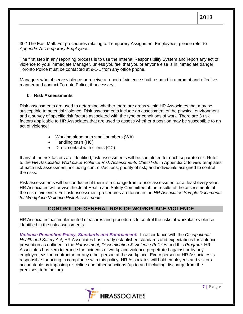302 The East Mall. For procedures relating to Temporary Assignment Employees, please refer to *Appendix A: Temporary Employees*.

The first step in any reporting process is to use the Internal Responsibility System and report any act of violence to your immediate Manager, unless you feel that you or anyone else is in immediate danger, Toronto Police must be contacted at 9-1-1 from any office phone.

<span id="page-6-0"></span>Managers who observe violence or receive a report of violence shall respond in a prompt and effective manner and contact Toronto Police, if necessary.

### **b. Risk Assessments**

Risk assessments are used to determine whether there are areas within HR Associates that may be susceptible to potential violence. Risk assessments include an assessment of the physical environment and a survey of specific risk factors associated with the type or conditions of work. There are 3 risk factors applicable to HR Associates that are used to assess whether a position may be susceptible to an act of violence:

- Working alone or in small numbers (WA)
- Handling cash (HC)
- Direct contact with clients (CC)

If any of the risk factors are identified, risk assessments will be completed for each separate risk. Refer to the *HR Associates Workplace Violence Risk Assessments Checklists* in Appendix C to view templates of each risk assessment, including controls/actions, priority of risk, and individuals assigned to control the risks.

Risk assessments will be conducted if there is a change from a prior assessment or at least every year. HR Associates will advise the Joint Health and Safety Committee of the results of the assessments of the risk of violence. Full risk assessment procedures are found in the *HR Associates Sample Documents for Workplace Violence Risk Assessments.*

# **CONTROL OF GENERAL RISK OF WORKPLACE VIOLENCE**

HR Associates has implemented measures and procedures to control the risks of workplace violence identified in the risk assessments:

*Violence Prevention Policy, Standards and Enforcement:* In accordance with the *Occupational Health and Safety Act*, HR Associates has clearly established standards and expectations for violence prevention as outlined in the *Harassment, Discrimination & Violence Policies* and this *Program*. HR Associates has zero tolerance for incidents of workplace violence perpetrated against or by any employee, visitor, contractor, or any other person at the workplace. Every person at HR Associates is responsible for acting in compliance with this policy. HR Associates will hold employees and visitors accountable by imposing discipline and other sanctions (up to and including discharge from the premises, termination).

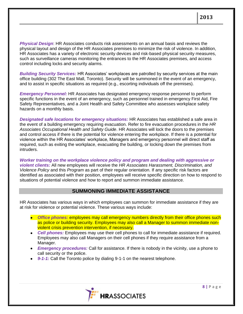*Physical Design*: HR Associates conducts risk assessments on an annual basis and reviews the physical layout and design of the HR Associates premises to minimize the risk of violence. In addition, HR Associates has a variety of electronic security devices and risk-based physical security measures, such as surveillance cameras monitoring the entrances to the HR Associates premises, and access control including locks and security alarms.

*Building Security Services:* HR Associates' workplaces are patrolled by security services at the main office building (302 The East Mall, Toronto). Security will be summoned in the event of an emergency, and to assist in specific situations as required (e.g., escorting individuals off the premises).

*Emergency Personnel:* HR Associates has designated emergency response personnel to perform specific functions in the event of an emergency, such as personnel trained in emergency First Aid, Fire Safety Representatives, and a Joint Health and Safety Committee who assesses workplace safety hazards on a monthly basis.

*Designated safe locations for emergency situations:* HR Associates has established a safe area in the event of a building emergency requiring evacuation. Refer to fire evacuation procedures in the *HR Associates Occupational Health and Safety Guide*. HR Associates will lock the doors to the premises and control access if there is the potential for violence entering the workplace. If there is a potential for violence within the HR Associates' workplace, Managers and emergency personnel will direct staff as required, such as exiting the workplace, evacuating the building, or locking down the premises from intruders.

*Worker training on the workplace violence policy and program and dealing with aggressive or violent clients:* All new employees will receive the *HR Associates Harassment, Discrimination, and Violence Policy* and this *Program* as part of their regular orientation. If any specific risk factors are identified as associated with their position, employees will receive specific direction on how to respond to situations of potential violence and how to report and summon immediate assistance.

# **SUMMONING IMMEDIATE ASSISTANCE**

HR Associates has various ways in which employees can summon for immediate assistance if they are at risk for violence or potential violence. These various ways include:

- *Office phones:* employees may call emergency numbers directly from their office phones such as police or building security. Employees may also call a Manager to summon immediate nonviolent crisis prevention intervention, if necessary.
- *Cell phones:* Employees may use their cell phones to call for immediate assistance if required. Employees may also call Managers on their cell phones if they require assistance from a Manager.
- *Emergency procedures:* Call for assistance. If there is nobody in the vicinity, use a phone to call security or the police.
- 9-1-1: Call the Toronto police by dialing 9-1-1 on the nearest telephone.

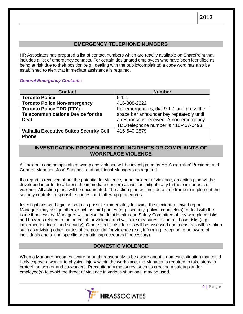# **EMERGENCY TELEPHONE NUMBERS**

HR Associates has prepared a list of contact numbers which are readily available on SharePoint that includes a list of emergency contacts. For certain designated employees who have been identified as being at risk due to their position (e.g., dealing with the public/complaints) a code word has also be established to alert that immediate assistance is required.

### *General Emergency Contacts:*

| <b>Contact</b>                                 | <b>Number</b>                             |
|------------------------------------------------|-------------------------------------------|
| <b>Toronto Police</b>                          | $9 - 1 - 1$                               |
| <b>Toronto Police Non-emergency</b>            | 416-808-2222                              |
| <b>Toronto Police TDD (TTY) -</b>              | For emergencies, dial 9-1-1 and press the |
| <b>Telecommunications Device for the</b>       | space bar announcer key repeatedly until  |
| <b>Deaf</b>                                    | a response is received. A non-emergency   |
|                                                | TDD telephone number is 416-467-0493.     |
| <b>Valhalla Executive Suites Security Cell</b> | 416-540-2579                              |
| <b>Phone</b>                                   |                                           |

## <span id="page-8-0"></span>**INVESTIGATION PROCEDURES FOR INCIDENTS OR COMPLAINTS OF WORKPLACE VIOLENCE**

All incidents and complaints of workplace violence will be investigated by HR Associates' President and General Manager, José Sanchez, and additional Managers as required.

If a report is received about the potential for violence, or an incident of violence, an action plan will be developed in order to address the immediate concern as well as mitigate any further similar acts of violence. All action plans will be documented. The action plan will include a time frame to implement the security controls, responsible parties, and follow-up procedures.

Investigations will begin as soon as possible immediately following the incident/received report. Managers may assign others, such as third parties (e.g., security, police, counselors) to deal with the issue if necessary. Managers will advise the Joint Health and Safety Committee of any workplace risks and hazards related to the potential for violence and will take measures to control those risks (e.g., implementing increased security). Other specific risk factors will be assessed and measures will be taken such as advising other parties of the potential for violence (e.g., informing reception to be aware of individuals and taking specific precautions/procedures if necessary).

# **DOMESTIC VIOLENCE**

When a Manager becomes aware or ought reasonably to be aware about a domestic situation that could likely expose a worker to physical injury within the workplace, the Manager is required to take steps to protect the worker and co-workers. Precautionary measures, such as creating a safety plan for employee(s) to avoid the threat of violence in various situations, may be used.

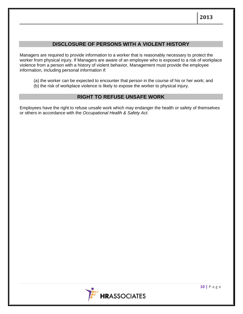# **DISCLOSURE OF PERSONS WITH A VIOLENT HISTORY**

Managers are required to provide information to a worker that is reasonably necessary to protect the worker from physical injury. If Managers are aware of an employee who is exposed to a risk of workplace violence from a person with a history of violent behavior, Management must provide the employee information, including personal information if:

- (a) the worker can be expected to encounter that person in the course of his or her work; and
- (b) the risk of workplace violence is likely to expose the worker to physical injury.

# **RIGHT TO REFUSE UNSAFE WORK**

Employees have the right to refuse unsafe work which may endanger the health or safety of themselves or others in accordance with the *Occupational Health & Safety Act*.

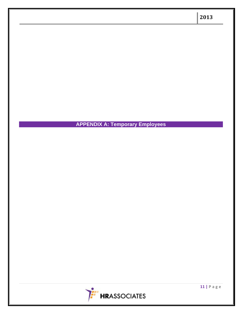<span id="page-10-0"></span>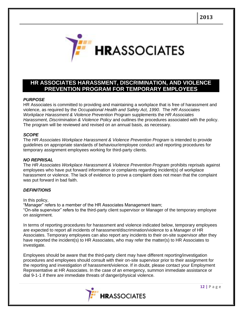

# **HR ASSOCIATES HARASSMENT, DISCRIMINATION, AND VIOLENCE PREVENTION PROGRAM FOR TEMPORARY EMPLOYEES**

#### *PURPOSE*

HR Associates is committed to providing and maintaining a workplace that is free of harassment and violence, as required by the *Occupational Health and Safety Act, 1990*. The *HR Associates Workplace Harassment & Violence Prevention Program* supplements the *HR Associates Harassment, Discrimination & Violence Policy* and outlines the procedures associated with the policy. The program will be reviewed and revised on an annual basis, as necessary.

#### *SCOPE*

The HR Associates Workplace Harassment & Violence Prevention Program is intended to provide guidelines on appropriate standards of behaviour/employee conduct and reporting procedures for temporary assignment employees working for third-party clients.

#### *NO REPRISAL*

The *HR Associates Workplace Harassment & Violence Prevention Program* prohibits reprisals against employees who have put forward information or complaints regarding incident(s) of workplace harassment or violence. The lack of evidence to prove a complaint does not mean that the complaint was put forward in bad faith.

#### *DEFINITIONS*

In this policy,

"Manager" refers to a member of the HR Associates Management team; "On-site supervisor" refers to the third-party client supervisor or Manager of the temporary employee on assignment.

In terms of reporting procedures for harassment and violence indicated below, temporary employees are expected to report all incidents of harassment/discrimination/violence to a Manager of HR Associates. Temporary employees can also report any incidents to their on-site supervisor after they have reported the incident(s) to HR Associates, who may refer the matter(s) to HR Associates to investigate.

Employees should be aware that the third-party client may have different reporting/investigation procedures and employees should consult with their on-site supervisor prior to their assignment for the reporting and investigation of harassment/violence. If in doubt, please contact your Employment Representative at HR Associates. In the case of an emergency, summon immediate assistance or dial 9-1-1 if there are immediate threats of danger/physical violence.

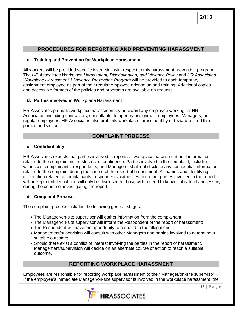# **PROCEDURES FOR REPORTING AND PREVENTING HARASSMENT**

## **c. Training and Prevention for Workplace Harassment**

All workers will be provided specific instruction with respect to this harassment prevention program. The *HR Associates Workplace Harassment, Discrimination, and Violence Policy* and *HR Associates Workplace Harassment & Violence Prevention Program* will be provided to each temporary assignment employee as part of their regular employee orientation and training. Additional copies and accessible formats of the policies and programs are available on request.

### **d. Parties involved in Workplace Harassment**

HR Associates prohibits workplace harassment by or toward any employee working for HR Associates, including contractors, consultants, temporary assignment employees, Managers, or regular employees. HR Associates also prohibits workplace harassment by or toward related third parties and visitors.

# **COMPLAINT PROCESS**

### **c. Confidentiality**

HR Associates expects that parties involved in reports of workplace harassment hold information related to the complaint in the strictest of confidence. Parties involved in the complaint, including witnesses, complainants, respondents, and Managers, shall not disclose any confidential information related to the complaint during the course of the report of harassment. All names and identifying information related to complainants, respondents, witnesses and other parties involved in the report will be kept confidential and will only be disclosed to those with a need to know if absolutely necessary during the course of investigating the report.

## **d. Complaint Process**

The complaint process includes the following general stages:

- The Manager/on-site supervisor will gather information from the complainant;
- The Manager/on-site supervisor will inform the Respondent of the report of harassment;
- The Respondent will have the opportunity to respond to the allegations;
- Management/supervision will consult with other Managers and parties involved to determine a suitable outcome;
- Should there exist a conflict of interest involving the parties in the report of harassment, Management/supervision will decide on an alternate course of action to reach a suitable outcome.

## **REPORTING WORKPLACE HARASSMENT**

Employees are responsible for reporting workplace harassment to their Manager/on-site supervisor. If the employee's immediate Manager/on-site supervisor is involved in the workplace harassment, the

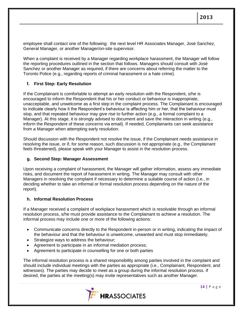employee shall contact one of the following: the next level HR Associates Manager, José Sanchez, General Manager, or another Manager/on-site supervisor.

When a complaint is received by a Manager regarding workplace harassment, the Manager will follow the reporting procedures outlined in the section that follows. Managers should consult with José Sanchez or another Manager as required, if there are concerns about referring the matter to the Toronto Police (e.g., regarding reports of criminal harassment or a hate crime).

## **f. First Step: Early Resolution**

If the Complainant is comfortable to attempt an early resolution with the Respondent, s/he is encouraged to inform the Respondent that his or her conduct or behaviour is inappropriate, unacceptable, and unwelcome as a first step in the complaint process. The Complainant is encouraged to indicate clearly how it the Respondent's behaviour is affecting him or her, that the behaviour must stop, and that repeated behaviour may give rise to further action (e.g., a formal complaint to a Manager). At this stage, it is strongly advised to document and save the interaction in writing (e.g., inform the Respondent of these concerns via email). If needed, Complainants can seek assistance from a Manager when attempting early resolution.

Should discussion with the Respondent not resolve the issue, if the Complainant needs assistance in resolving the issue, or if, for some reason, such discussion is not appropriate (e.g., the Complainant feels threatened), please speak with your Manager to assist in the resolution process.

## **g. Second Step: Manager Assessment**

Upon receiving a complaint of harassment, the Manager will gather information, assess any immediate risks, and document the report of harassment in writing. The Manager may consult with other Managers in resolving the complaint if necessary to determine a suitable course of action (i.e., in deciding whether to take an informal or formal resolution process depending on the nature of the report).

## **h. Informal Resolution Process**

If a Manager received a complaint of workplace harassment which is resolvable through an informal resolution process, s/he must provide assistance to the Complainant to achieve a resolution. The informal process may include one or more of the following actions:

- Communicate concerns directly to the Respondent in-person or in writing, indicating the impact of the behaviour and that the behaviour is unwelcome, unwanted and must stop immediately;
- Strategize ways to address the behaviour;
- Agreement to participate in an informal mediation process;
- Agreement to participate in counselling for one or both parties

The informal resolution process is a shared responsibility among parties involved in the complaint and should include individual meetings with the parties as appropriate (i.e., Complainant, Respondent, and witnesses). The parties may decide to meet as a group during the informal resolution process. If desired, the parties at the meeting(s) may invite representatives such as another Manager.

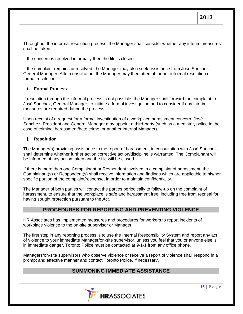Throughout the informal resolution process, the Manager shall consider whether any interim measures shall be taken.

If the concern is resolved informally then the file is closed.

If the complaint remains unresolved, the Manager may also seek assistance from José Sanchez, General Manager. After consultation, the Manager may then attempt further informal resolution or formal resolution.

### **i. Formal Process**

If resolution through the informal process is not possible, the Manager shall forward the complaint to José Sanchez, General Manager, to initiate a formal investigation and to consider if any interim measures are required during the process.

Upon receipt of a request for a formal investigation of a workplace harassment concern, José Sanchez, President and General Manager may appoint a third-party (such as a mediator, police in the case of criminal harassment/hate crime, or another internal Manager).

#### **j. Resolution**

The Manager(s) providing assistance to the report of harassment, in consultation with José Sanchez, shall determine whether further action corrective action/discipline is warranted. The Complainant will be informed of any action taken and the file will be closed.

If there is more than one Complainant or Respondent involved in a complaint of harassment, the Complainant(s) or Respondent(s) shall receive information and findings which are applicable to his/her specific portion of the complaint/response, in order to maintain confidentiality.

The Manager of both parties will contact the parties periodically to follow-up on the complaint of harassment, to ensure that the workplace is safe and harassment free, including free from reprisal for having sought protection pursuant to the *Act*.

## **PROCEDURES FOR REPORTING AND PREVENTING VIOLENCE**

HR Associates has implemented measures and procedures for workers to report incidents of workplace violence to the on-site supervisor or Manager:

The first step in any reporting process is to use the Internal Responsibility System and report any act of violence to your immediate Manager/on-site supervisor, unless you feel that you or anyone else is in immediate danger, Toronto Police must be contacted at 9-1-1 from any office phone.

Managers/on-site supervisors who observe violence or receive a report of violence shall respond in a prompt and effective manner and contact Toronto Police, if necessary.

## **SUMMONING IMMEDIATE ASSISTANCE**

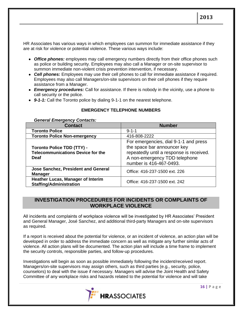HR Associates has various ways in which employees can summon for immediate assistance if they are at risk for violence or potential violence. These various ways include:

- *Office phones:* employees may call emergency numbers directly from their office phones such as police or building security. Employees may also call a Manager or on-site supervisor to summon immediate non-violent crisis prevention intervention, if necessary.
- *Cell phones:* Employees may use their cell phones to call for immediate assistance if required. Employees may also call Managers/on-site supervisors on their cell phones if they require assistance from a Manager.
- *Emergency procedures:* Call for assistance. If there is nobody in the vicinity, use a phone to call security or the police.
- *9-1-1:* Call the Toronto police by dialing 9-1-1 on the nearest telephone.

## **EMERGENCY TELEPHONE NUMBERS**

#### *General Emergency Contacts:*

| <b>Contact</b>                                                                               | <b>Number</b>                                                                                                                                                                |
|----------------------------------------------------------------------------------------------|------------------------------------------------------------------------------------------------------------------------------------------------------------------------------|
| <b>Toronto Police</b>                                                                        | $9 - 1 - 1$                                                                                                                                                                  |
| <b>Toronto Police Non-emergency</b>                                                          | 416-808-2222                                                                                                                                                                 |
| <b>Toronto Police TDD (TTY) -</b><br><b>Telecommunications Device for the</b><br><b>Deaf</b> | For emergencies, dial 9-1-1 and press<br>the space bar announcer key<br>repeatedly until a response is received.<br>A non-emergency TDD telephone<br>number is 416-467-0493. |
| <b>Jose Sanchez, President and General</b><br><b>Manager</b>                                 | Office: 416-237-1500 ext. 226                                                                                                                                                |
| <b>Heather Lucas, Manager of Interim</b><br><b>Staffing/Administration</b>                   | Office: 416-237-1500 ext. 242                                                                                                                                                |

## **INVESTIGATION PROCEDURES FOR INCIDENTS OR COMPLAINTS OF WORKPLACE VIOLENCE**

All incidents and complaints of workplace violence will be investigated by HR Associates' President and General Manager, José Sanchez, and additional third-party Managers and on-site supervisors as required.

If a report is received about the potential for violence, or an incident of violence, an action plan will be developed in order to address the immediate concern as well as mitigate any further similar acts of violence. All action plans will be documented. The action plan will include a time frame to implement the security controls, responsible parties, and follow-up procedures.

Investigations will begin as soon as possible immediately following the incident/received report. Managers/on-site supervisors may assign others, such as third parties (e.g., security, police, counselors) to deal with the issue if necessary. Managers will advise the Joint Health and Safety Committee of any workplace risks and hazards related to the potential for violence and will take

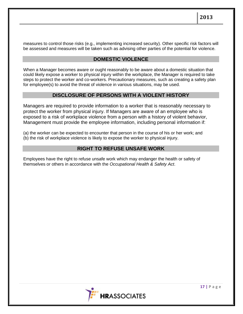measures to control those risks (e.g., implementing increased security). Other specific risk factors will be assessed and measures will be taken such as advising other parties of the potential for violence.

## **DOMESTIC VIOLENCE**

When a Manager becomes aware or ought reasonably to be aware about a domestic situation that could likely expose a worker to physical injury within the workplace, the Manager is required to take steps to protect the worker and co-workers. Precautionary measures, such as creating a safety plan for employee(s) to avoid the threat of violence in various situations, may be used.

# **DISCLOSURE OF PERSONS WITH A VIOLENT HISTORY**

Managers are required to provide information to a worker that is reasonably necessary to protect the worker from physical injury. If Managers are aware of an employee who is exposed to a risk of workplace violence from a person with a history of violent behavior, Management must provide the employee information, including personal information if:

(a) the worker can be expected to encounter that person in the course of his or her work; and (b) the risk of workplace violence is likely to expose the worker to physical injury.

# **RIGHT TO REFUSE UNSAFE WORK**

Employees have the right to refuse unsafe work which may endanger the health or safety of themselves or others in accordance with the *Occupational Health & Safety Act*.

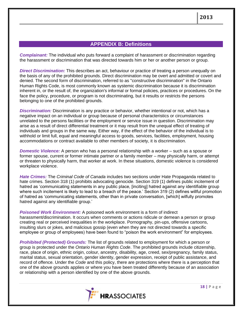## **APPENDIX B: Definitions**

*Complainant:* The individual who puts forward a complaint of harassment or discrimination regarding the harassment or discrimination that was directed towards him or her or another person or group.

*Direct Discrimination:* This describes an act, behaviour or practice of treating a person unequally on the basis of any of the prohibited grounds. Direct discrimination may be overt and admitted or covert and denied. The second form of discrimination, referred to as "constructive discrimination" in the Ontario Human Rights Code, is most commonly known as systemic discrimination because it is discrimination inherent in, or the result of, the organization's informal or formal policies, practices or procedures. On the face the policy, procedure, or program is not discriminating, but it results or restricts the persons belonging to one of the prohibited grounds.

*Discrimination:* Discrimination is any practice or behavior, whether intentional or not, which has a negative impact on an individual or group because of personal characteristics or circumstances unrelated to the persons facilities or the employment or service issue in question. Discrimination may arise as a result of direct differential treatment or it may result from the unequal effect of treating of individuals and groups in the same way. Either way, if the effect of the behavior of the individual is to withhold or limit full, equal and meaningful access to goods, services, facilities, employment, housing accommodations or contract available to other members of society, it is discrimination.

*Domestic Violence:* A person who has a personal relationship with a worker – such as a spouse or former spouse, current or former intimate partner or a family member – may physically harm, or attempt or threaten to physically harm, that worker at work. In these situations, domestic violence is considered workplace violence.

*Hate Crimes:* The *Criminal Code of Canada* includes two sections under Hate Propaganda related to hate crimes. Section 318 (1) prohibits advocating genocide. Section 319 (1) defines public incitement of hatred as 'communicating statements in any public place, [inciting] hatred against any identifiable group where such incitement is likely to lead to a breach of the peace.' Section 319 (2) defines willful promotion of hatred as 'communicating statements, other than in private conversation, [which] wilfully promotes hatred against any identifiable group.'

*Poisoned Work Environment:* A poisoned work environment is a form of indirect harassment/discrimination. It occurs when comments or actions ridicule or demean a person or group creating real or perceived inequalities in the workplace. Pornography, pin-ups, offensive cartoons, insulting slurs or jokes, and malicious gossip (even when they are not directed towards a specific employee or group of employees) have been found to "poison the work environment" for employees.

*Prohibited (Protected) Grounds:* The list of grounds related to employment for which a person or group is protected under the *Ontario Human Rights Code*. The prohibited grounds include citizenship, race, place of origin, ethnic origin, colour, ancestry, disability, age, creed, sex/pregnancy, family status, marital status, sexual orientation, gender identity, gender expression, receipt of public assistance, and record of offence. Under the *Code* and this policy, there are protections where there is a perception that one of the above grounds applies or where you have been treated differently because of an association or relationship with a person identified by one of the above grounds.

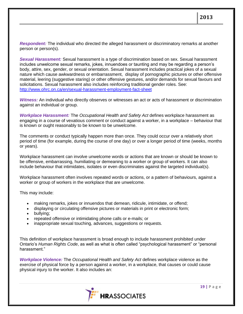*Respondent:* The individual who directed the alleged harassment or discriminatory remarks at another person or person(s).

*Sexual Harassment:* Sexual harassment is a type of discrimination based on sex. Sexual harassment includes unwelcome sexual remarks, jokes, innuendoes or taunting and may be regarding a person's body, attire, sex, gender, or sexual orientation. Sexual harassment includes practical jokes of a sexual nature which cause awkwardness or embarrassment, display of pornographic pictures or other offensive material, leering (suggestive staring) or other offensive gestures, and/or demands for sexual favours and solicitations. Sexual harassment also includes reinforcing traditional gender roles. See: <http://www.ohrc.on.ca/en/sexual-harassment-employment-fact-sheet>

*Witness:* An individual who directly observes or witnesses an act or acts of harassment or discrimination against an individual or group.

*Workplace Harassment:* The *[Occupational Health and Safety Act](http://www.e-laws.gov.on.ca/html/statutes/english/elaws_statutes_90o01_e.htm)* defines workplace harassment as engaging in a course of vexatious comment or conduct against a worker, in a workplace – behaviour that is known or ought reasonably to be known to be unwelcome.

The comments or conduct typically happen more than once. They could occur over a relatively short period of time (for example, during the course of one day) or over a longer period of time (weeks, months or years).

Workplace harassment can involve unwelcome words or actions that are known or should be known to be offensive, embarrassing, humiliating or demeaning to a worker or group of workers. It can also include behaviour that intimidates, isolates or even discriminates against the targeted individual(s).

Workplace harassment often involves repeated words or actions, or a pattern of behaviours, against a worker or group of workers in the workplace that are unwelcome.

This may include:

- making remarks, jokes or innuendos that demean, ridicule, intimidate, or offend;
- displaying or circulating offensive pictures or materials in print or electronic form;
- bullying;
- repeated offensive or intimidating phone calls or e-mails; or
- inappropriate sexual touching, advances, suggestions or requests.

This definition of workplace harassment is broad enough to include harassment prohibited under Ontario's *[Human Rights Code](http://www.e-laws.gov.on.ca/html/statutes/english/elaws_statutes_90h19_e.htm)*, as well as what is often called "psychological harassment" or "personal harassment."

*Workplace Violence:* The *[Occupational Health and Safety Act](http://www.e-laws.gov.on.ca/html/statutes/english/elaws_statutes_90o01_e.htm)* defines workplace violence as the exercise of physical force by a person against a worker, in a workplace, that causes or could cause physical injury to the worker. It also includes an:

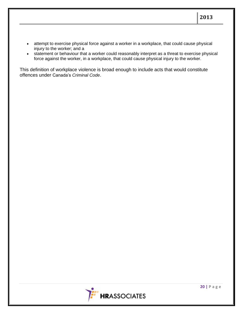- attempt to exercise physical force against a worker in a workplace, that could cause physical injury to the worker; and a
- statement or behaviour that a worker could reasonably interpret as a threat to exercise physical force against the worker, in a workplace, that could cause physical injury to the worker.

This definition of workplace violence is broad enough to include acts that would constitute offences under Canada's *[Criminal Code](http://laws.justice.gc.ca/en/C-46/)*.

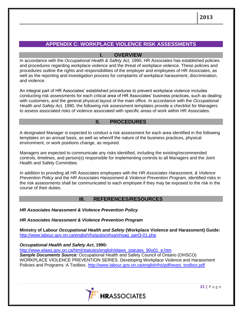# **APPENDIX C: WORKPLACE VIOLENCE RISK ASSESSMENTS**

## **I. OVERVIEW**

In accordance with the *Occupational Health & Safety Act*, 1990, HR Associates has established policies and procedures regarding workplace violence and the threat of workplace violence. These policies and procedures outline the rights and responsibilities of the employer and employees of HR Associates, as well as the reporting and investigation process for complaints of workplace harassment, discrimination, and violence.

An integral part of HR Associates' established procedures to prevent workplace violence includes conducting risk assessments for each critical area of HR Associates' business practices, such as dealing with customers, and the general physical layout of the main office. In accordance with the *Occupational Health and Safety Act*, 1990, the following risk assessment templates provide a checklist for Managers to assess associated risks of violence associated with specific areas of work within HR Associates.

## **II. PROCEDURES**

A designated Manager is expected to conduct a risk assessment for each area identified in the following templates on an annual basis, as well as when/if the nature of the business practices, physical environment, or work positions change, as required.

Managers are expected to communicate any risks identified, including the existing/recommended controls, timelines, and person(s) responsible for implementing controls to all Managers and the Joint Health and Safety Committee.

In addition to providing all HR Associates employees with the *HR Associates Harassment, & Violence Prevention Policy* and the *HR Associates Harassment & Violence Prevention Program,* identified risks in the risk assessments shall be communicated to each employee if they may be exposed to the risk in the course of their duties.

## **III. REFERENCES/RESOURCES**

*HR Associates Harassment & Violence Prevention Policy*

*HR Associates Harassment & Violence Prevention Program*

**Ministry of Labour** *Occupational Health and Safety* **(Workplace Violence and Harassment) Guide:**  [http://www.labour.gov.on.ca/english/hs/pubs/ohsa/ohsag\\_part3-01.php](http://www.labour.gov.on.ca/english/hs/pubs/ohsa/ohsag_part3-01.php)

*Occupational Health and Safety Act***, 1990:** 

[http://www.elaws.gov.on.ca/html/statutes/english/elaws\\_statutes\\_90o01\\_e.htm](http://www.elaws.gov.on.ca/html/statutes/english/elaws_statutes_90o01_e.htm) **Sample Documents Source:** Occupational Health and Safety Council of Ontario (OHSCO) WORKPLACE VIOLENCE PREVENTION SERIES. Developing Workplace Violence and Harassment Policies and Programs: A Toolbox. [http://www.labour.gov.on.ca/english/hs/pdf/wvps\\_toolbox.pdf](http://www.labour.gov.on.ca/english/hs/pdf/wvps_toolbox.pdf)

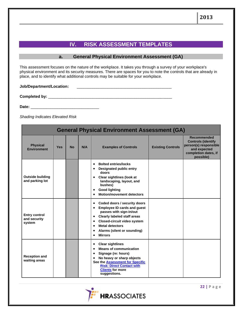# **IV. RISK ASSESSMENT TEMPLATES**

### **a. General Physical Environment Assessment (GA)**

This assessment focuses on the nature of the workplace. It takes you through a survey of your workplace's physical environment and its security measures. There are spaces for you to note the controls that are already in place, and to identify what additional controls may be suitable for your workplace.

#### **Job/Department/Location:** \_\_\_\_\_\_\_\_\_\_\_\_\_\_\_\_\_\_\_\_\_\_\_\_\_\_\_\_\_\_\_\_\_\_\_\_\_\_\_\_\_\_\_

**Completed by:** \_\_\_\_\_\_\_\_\_\_\_\_\_\_\_\_\_\_\_\_\_\_\_\_\_\_\_\_\_\_\_\_\_\_\_\_\_\_\_\_\_\_\_\_\_\_\_\_\_\_\_\_\_\_\_\_

**Date:** \_\_\_\_\_\_\_\_\_\_\_\_\_\_\_\_\_\_\_\_\_\_\_\_\_\_\_\_\_\_\_

*Shading Indicates Elevated Risk*

|                                                | <b>General Physical Environment Assessment (GA)</b> |           |     |                                                                                                                                                                                                                                                                                                   |                          |                                                                                                                        |  |  |  |
|------------------------------------------------|-----------------------------------------------------|-----------|-----|---------------------------------------------------------------------------------------------------------------------------------------------------------------------------------------------------------------------------------------------------------------------------------------------------|--------------------------|------------------------------------------------------------------------------------------------------------------------|--|--|--|
| <b>Physical</b><br><b>Environment</b>          | <b>Yes</b>                                          | <b>No</b> | N/A | <b>Examples of Controls</b>                                                                                                                                                                                                                                                                       | <b>Existing Controls</b> | Recommended<br><b>Controls (identify</b><br>person(s) responsible<br>and expected<br>completion dates, if<br>possible) |  |  |  |
| <b>Outside building</b><br>and parking lot     |                                                     |           |     | <b>Bolted entries/locks</b><br>$\bullet$<br>Designated public entry<br>$\bullet$<br>doors<br><b>Clear sightlines (look at</b><br>$\bullet$<br>landscaping, layout, and<br>bushes)<br><b>Good lighting</b><br>٠<br><b>Motion/movement detectors</b><br>$\bullet$                                   |                          |                                                                                                                        |  |  |  |
| <b>Entry control</b><br>and security<br>system |                                                     |           |     | Coded doors / security doors<br>$\bullet$<br><b>Employee ID cards and guest</b><br>passes with sign-in/out<br><b>Clearly labeled staff areas</b><br>$\bullet$<br>Closed-circuit video system<br>$\bullet$<br><b>Metal detectors</b><br>$\bullet$<br>Alarms (silent or sounding)<br><b>Mirrors</b> |                          |                                                                                                                        |  |  |  |
| <b>Reception and</b><br>waiting areas          |                                                     |           |     | <b>Clear sightlines</b><br>$\bullet$<br><b>Means of communication</b><br>$\bullet$<br>Signage (re: hours)<br>$\bullet$<br>No heavy or sharp objects<br>$\bullet$<br>See the <b>Assessment for Specific</b><br><b>Risk: Direct Contact with</b><br><b>Clients for more</b><br>suggestions.         |                          |                                                                                                                        |  |  |  |

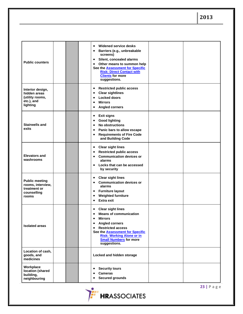| <b>Public counters</b>                                                             |  | Widened service desks<br>$\bullet$<br>Barriers (e.g., unbreakable<br>$\bullet$<br>screens)<br>Silent, concealed alarms<br>$\bullet$<br>Other means to summon help<br>$\bullet$<br>See the <b>Assessment for Specific</b><br><b>Risk: Direct Contact with</b><br><b>Clients</b> for more<br>suggestions.      |  |
|------------------------------------------------------------------------------------|--|--------------------------------------------------------------------------------------------------------------------------------------------------------------------------------------------------------------------------------------------------------------------------------------------------------------|--|
| Interior design,<br>hidden areas<br>(utility rooms,<br>etc.), and<br>lighting      |  | <b>Restricted public access</b><br>$\bullet$<br><b>Clear sightlines</b><br>$\bullet$<br><b>Locked doors</b><br>$\bullet$<br><b>Mirrors</b><br>$\bullet$<br><b>Angled corners</b><br>$\bullet$                                                                                                                |  |
| <b>Stairwells and</b><br>exits                                                     |  | <b>Exit signs</b><br>$\bullet$<br><b>Good lighting</b><br>$\bullet$<br><b>No obstructions</b><br>$\bullet$<br>Panic bars to allow escape<br>$\bullet$<br><b>Requirements of Fire Code</b><br>$\bullet$<br>and Building Code                                                                                  |  |
| <b>Elevators and</b><br>washrooms                                                  |  | <b>Clear sight lines</b><br>$\bullet$<br><b>Restricted public access</b><br>$\bullet$<br><b>Communication devices or</b><br>$\bullet$<br>alarms<br>Locks that can be accessed<br>$\bullet$<br>by security                                                                                                    |  |
| <b>Public meeting</b><br>rooms, interview,<br>treatment or<br>counselling<br>rooms |  | <b>Clear sight lines</b><br>$\bullet$<br><b>Communication devices or</b><br>$\bullet$<br>alarms<br><b>Furniture layout</b><br>$\bullet$<br><b>Weighted furniture</b><br>$\bullet$<br><b>Extra exit</b><br>$\bullet$                                                                                          |  |
| <b>Isolated areas</b>                                                              |  | <b>Clear sight lines</b><br>$\bullet$<br><b>Means of communication</b><br>$\bullet$<br>Mirrors<br><b>Angled corners</b><br>$\bullet$<br><b>Restricted access</b><br>$\bullet$<br>See the <b>Assessment for Specific</b><br><b>Risk: Working Alone or in</b><br><b>Small Numbers for more</b><br>suggestions. |  |
| Location of cash,<br>goods, and<br>medicines                                       |  | Locked and hidden storage                                                                                                                                                                                                                                                                                    |  |
| Workplace<br>location (shared<br>building,<br>neighbouring                         |  | <b>Security tours</b><br>$\bullet$<br><b>Cameras</b><br>$\bullet$<br><b>Secured grounds</b><br>$\bullet$                                                                                                                                                                                                     |  |

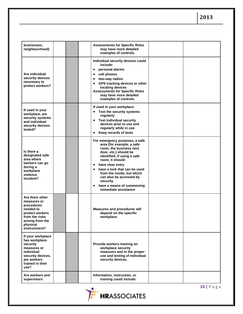| businesses,<br>neighbourhood)                                                                                                                  | <b>Assessments for Specific Risks</b><br>may have more detailed<br>examples of controls.                                                                                                                                                                                                                                                                                                |  |
|------------------------------------------------------------------------------------------------------------------------------------------------|-----------------------------------------------------------------------------------------------------------------------------------------------------------------------------------------------------------------------------------------------------------------------------------------------------------------------------------------------------------------------------------------|--|
| Are individual<br>security devices<br>necessary to<br>protect workers?                                                                         | Individual security devices could<br>include:<br>personal alarms<br>$\bullet$<br>cell phones<br>٠<br>two-way radios<br>٠<br>GPS tracking devices or other<br>$\bullet$<br>locating devices<br><b>Assessments for Specific Risks</b><br>may have more detailed<br>examples of controls.                                                                                                  |  |
| If used in your<br>workplace, are<br>security systems<br>and individual<br>security devices<br>tested?                                         | If used in your workplace:<br>Test the security systems<br>$\bullet$<br>regularly<br><b>Test individual security</b><br>$\bullet$<br>devices prior to use and<br>regularly while in use<br>Keep records of tests<br>$\bullet$                                                                                                                                                           |  |
| Is there a<br>designated safe<br>area where<br>workers can go<br>during a<br>workplace<br>violence<br>incident?                                | For emergency purposes, a safe<br>area (for example, a safe<br>room, the business next<br>door, etc.) should be<br>identified. If using a safe<br>room, it should:<br>have clear entry<br>$\bullet$<br>have a lock that can be used<br>$\bullet$<br>from the inside, but which<br>can also be accessed by<br>security<br>have a means of summoning<br>$\bullet$<br>immediate assistance |  |
| Are there other<br>measures or<br>procedures<br>needed to<br>protect workers<br>from the risks<br>arising from the<br>physical<br>environment? | <b>Measures and procedures will</b><br>depend on the specific<br>workplace.                                                                                                                                                                                                                                                                                                             |  |
| If your workplace<br>has workplace<br>security<br>measures or<br>individual<br>security devices,<br>are workers<br>trained in their<br>use?    | Provide workers training on<br>workplace security<br>measures and in the proper<br>use and testing of individual<br>security devices.                                                                                                                                                                                                                                                   |  |
| Are workers and<br>supervisors                                                                                                                 | Information, instruction, or<br>training could include:                                                                                                                                                                                                                                                                                                                                 |  |

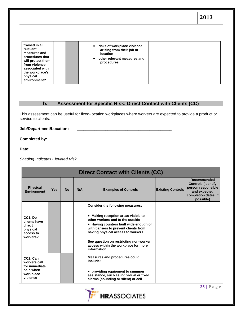| trained in all<br>relevant<br>measures and<br>procedures that<br>will protect them<br>from violence<br>associated with<br>the workplace's<br>physical<br>environment? | risks of workplace violence<br>$\bullet$<br>arising from their job or<br>location<br>other relevant measures and<br>٠<br>procedures |  |  |
|-----------------------------------------------------------------------------------------------------------------------------------------------------------------------|-------------------------------------------------------------------------------------------------------------------------------------|--|--|
|-----------------------------------------------------------------------------------------------------------------------------------------------------------------------|-------------------------------------------------------------------------------------------------------------------------------------|--|--|

## **b. Assessment for Specific Risk: Direct Contact with Clients (CC)**

This assessment can be useful for fixed-location workplaces where workers are expected to provide a product or service to clients.

**Job/Department/Location:** \_\_\_\_\_\_\_\_\_\_\_\_\_\_\_\_\_\_\_\_\_\_\_\_\_\_\_\_\_\_\_\_\_\_\_\_\_\_\_\_\_\_\_

**Completed by:** \_\_\_\_\_\_\_\_\_\_\_\_\_\_\_\_\_\_\_\_\_\_\_\_\_\_\_\_\_\_\_\_\_\_\_\_\_\_\_\_\_\_\_\_\_\_\_\_\_\_\_\_\_\_\_\_

**Date:** \_\_\_\_\_\_\_\_\_\_\_\_\_\_\_\_\_\_\_\_\_\_\_\_\_\_\_\_\_\_\_

*Shading Indicates Elevated Risk*

|                                                                          | <b>Direct Contact with Clients (CC)</b> |           |     |                                                                                                                                                                                                                                                                                                   |                          |                                                                                                                     |  |  |
|--------------------------------------------------------------------------|-----------------------------------------|-----------|-----|---------------------------------------------------------------------------------------------------------------------------------------------------------------------------------------------------------------------------------------------------------------------------------------------------|--------------------------|---------------------------------------------------------------------------------------------------------------------|--|--|
| <b>Physical</b><br><b>Environment</b>                                    | <b>Yes</b>                              | <b>No</b> | N/A | <b>Examples of Controls</b>                                                                                                                                                                                                                                                                       | <b>Existing Controls</b> | Recommended<br><b>Controls (identify</b><br>person responsible<br>and expected<br>completion dates, if<br>possible) |  |  |
|                                                                          |                                         |           |     | <b>Consider the following measures:</b>                                                                                                                                                                                                                                                           |                          |                                                                                                                     |  |  |
| $CC1.$ Do<br>clients have<br>direct<br>physical<br>access to<br>workers? |                                         |           |     | • Making reception areas visible to<br>other workers and to the outside<br>• Having counters built wide enough or<br>with barriers to prevent clients from<br>having physical access to workers<br>See question on restricting non-worker<br>access within the workplace for more<br>information. |                          |                                                                                                                     |  |  |
| CC <sub>2</sub> . Can<br>workers call<br>for immediate                   |                                         |           |     | Measures and procedures could<br>include:                                                                                                                                                                                                                                                         |                          |                                                                                                                     |  |  |
| help when<br>workplace<br>violence                                       |                                         |           |     | • providing equipment to summon<br>assistance, such as individual or fixed<br>alarms (sounding or silent) or cell                                                                                                                                                                                 |                          |                                                                                                                     |  |  |

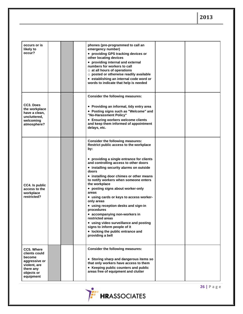| occurs or is<br>likely to<br>occur?                                                                            |  | phones (pre-programmed to call an<br>emergency number)<br>• providing GPS tracking devices or<br>other locating devices<br>• providing internal and external<br>numbers for workers to call<br>$\circ$ at all hours of operations<br>$\circ$ posted or otherwise readily available<br>• establishing an internal code word or<br>words to indicate that help is needed                                                                                                                                                                                                                                                                                                                       |  |
|----------------------------------------------------------------------------------------------------------------|--|----------------------------------------------------------------------------------------------------------------------------------------------------------------------------------------------------------------------------------------------------------------------------------------------------------------------------------------------------------------------------------------------------------------------------------------------------------------------------------------------------------------------------------------------------------------------------------------------------------------------------------------------------------------------------------------------|--|
| CC3. Does<br>the workplace<br>have a clean,<br>uncluttered,<br>welcoming<br>atmosphere?                        |  | Consider the following measures:<br>• Providing an informal, tidy entry area<br>• Posting signs such as "Welcome" and<br>"No-Harassment Policy"<br>• Ensuring workers welcome clients<br>and keep them informed of appointment<br>delays, etc.                                                                                                                                                                                                                                                                                                                                                                                                                                               |  |
| CC4. Is public<br>access to the<br>workplace<br>restricted?                                                    |  | <b>Consider the following measures:</b><br>Restrict public access to the workplace<br>by:<br>• providing a single entrance for clients<br>and controlling access to other doors<br>• installing security alarms on outside<br>doors<br>• installing door chimes or other means<br>to notify workers when someone enters<br>the workplace<br>• posting signs about worker-only<br>areas<br>• using cards or keys to access worker-<br>only areas<br>• using reception desks and sign-in<br>procedures<br>• accompanying non-workers in<br>restricted areas<br>• using video surveillance and posting<br>signs to inform people of it<br>• locking the public entrance and<br>providing a bell |  |
| CC5. Where<br>clients could<br>become<br>aggressive or<br>violent, are<br>there any<br>objects or<br>equipment |  | Consider the following measures:<br>• Storing sharp and dangerous items so<br>that only workers have access to them<br>• Keeping public counters and public<br>areas free of equipment and clutter                                                                                                                                                                                                                                                                                                                                                                                                                                                                                           |  |

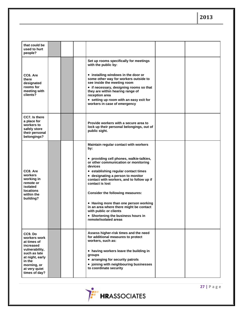| that could be<br>used to hurt<br>people?                                                                                                                            |  |                                                                                                                                                                                                                                                                                                                                                                                                                                                                                                           |  |
|---------------------------------------------------------------------------------------------------------------------------------------------------------------------|--|-----------------------------------------------------------------------------------------------------------------------------------------------------------------------------------------------------------------------------------------------------------------------------------------------------------------------------------------------------------------------------------------------------------------------------------------------------------------------------------------------------------|--|
| CC6. Are<br>there<br>designated<br>rooms for<br>meeting with<br>clients?                                                                                            |  | Set up rooms specifically for meetings<br>with the public by:<br>• installing windows in the door or<br>some other way for workers outside to<br>see inside the meeting room<br>• if necessary, designing rooms so that<br>they are within hearing range of<br>reception area<br>• setting up room with an easy exit for<br>workers in case of emergency                                                                                                                                                  |  |
| CC7. Is there<br>a place for<br>workers to<br>safely store<br>their personal<br>belongings?                                                                         |  | Provide workers with a secure area to<br>lock up their personal belongings, out of<br>public sight.                                                                                                                                                                                                                                                                                                                                                                                                       |  |
| CC8, Are<br>workers<br>working in<br>remote or<br>isolated<br><b>locations</b><br>within the<br>building?                                                           |  | Maintain regular contact with workers<br>by:<br>• providing cell phones, walkie-talkies,<br>or other communication or monitoring<br>devices<br>• establishing regular contact times<br>• designating a person to monitor<br>contact with workers, and to follow up if<br>contact is lost<br>Consider the following measures:<br>• Having more than one person working<br>in an area where there might be contact<br>with public or clients<br>• Shortening the business hours in<br>remote/isolated areas |  |
| CC9. Do<br>workers work<br>at times of<br>increased<br>vulnerability,<br>such as late<br>at night, early<br>in the<br>morning, or<br>at very quiet<br>times of day? |  | Assess higher-risk times and the need<br>for additional measures to protect<br>workers, such as:<br>• having workers leave the building in<br>groups<br>• arranging for security patrols<br>• joining with neighbouring businesses<br>to coordinate security                                                                                                                                                                                                                                              |  |

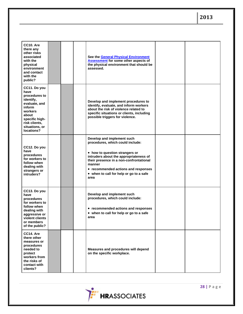| CC10. Are<br>there any<br>other risks<br>associated<br>with the<br>physical<br>environment<br>and contact<br>with the<br>public?                                     |  | See the <b>General Physical Environment</b><br><b>Assessment</b> for some other aspects of<br>the physical environment that should be<br>assessed.                                                                                                                                        |  |
|----------------------------------------------------------------------------------------------------------------------------------------------------------------------|--|-------------------------------------------------------------------------------------------------------------------------------------------------------------------------------------------------------------------------------------------------------------------------------------------|--|
| CC11. Do you<br>have<br>procedures to<br>identify,<br>evaluate, and<br>inform<br>workers<br>about<br>specific high-<br>risk clients,<br>situations, or<br>locations? |  | Develop and implement procedures to<br>identify, evaluate, and inform workers<br>about the risk of violence related to<br>specific situations or clients, including<br>possible triggers for violence.                                                                                    |  |
| CC12. Do you<br>have<br>procedures<br>for workers to<br>follow when<br>dealing with<br>strangers or<br>intruders?                                                    |  | Develop and implement such<br>procedures, which could include:<br>• how to question strangers or<br>intruders about the appropriateness of<br>their presence in a non-confrontational<br>manner<br>• recommended actions and responses<br>• when to call for help or go to a safe<br>area |  |
| CC13. Do you<br>have<br>procedures<br>for workers to<br>follow when<br>dealing with<br>aggressive or<br>violent clients<br>or members<br>of the public?              |  | Develop and implement such<br>procedures, which could include:<br>• recommended actions and responses<br>• when to call for help or go to a safe<br>area                                                                                                                                  |  |
| CC14. Are<br>there other<br>measures or<br>procedures<br>needed to<br>protect<br>workers from<br>the risks of<br>contact with<br>clients?                            |  | Measures and procedures will depend<br>on the specific workplace.                                                                                                                                                                                                                         |  |

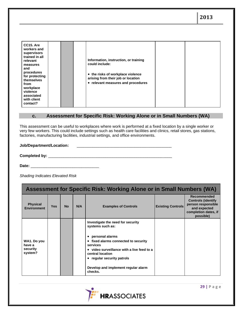| CC15. Are<br>workers and<br>supervisors<br>trained in all<br>relevant<br>measures<br>and<br>procedures<br>for protecting<br>themselves<br>from<br>workplace<br>violence<br>associated<br>with client<br>contact? |  | Information, instruction, or training<br>could include:<br>• the risks of workplace violence<br>arising from their job or location<br>• relevant measures and procedures |  |  |
|------------------------------------------------------------------------------------------------------------------------------------------------------------------------------------------------------------------|--|--------------------------------------------------------------------------------------------------------------------------------------------------------------------------|--|--|
|------------------------------------------------------------------------------------------------------------------------------------------------------------------------------------------------------------------|--|--------------------------------------------------------------------------------------------------------------------------------------------------------------------------|--|--|

### **c. Assessment for Specific Risk: Working Alone or in Small Numbers (WA)**

This assessment can be useful to workplaces where work is performed at a fixed location by a single worker or very few workers. This could include settings such as health care facilities and clinics, retail stores, gas stations, factories, manufacturing facilities, industrial settings, and office environments.

### **Job/Department/Location:** \_\_\_\_\_\_\_\_\_\_\_\_\_\_\_\_\_\_\_\_\_\_\_\_\_\_\_\_\_\_\_\_\_\_\_\_\_\_\_\_\_\_\_

**Completed by:** \_\_\_\_\_\_\_\_\_\_\_\_\_\_\_\_\_\_\_\_\_\_\_\_\_\_\_\_\_\_\_\_\_\_\_\_\_\_\_\_\_\_\_\_\_\_\_\_\_\_\_\_\_\_\_\_

**Date:** \_\_\_\_\_\_\_\_\_\_\_\_\_\_\_\_\_\_\_\_\_\_\_\_\_\_\_\_\_\_\_

*Shading Indicates Elevated Risk*

| Assessment for Specific Risk: Working Alone or in Small Numbers (WA) |            |           |     |                                                                                                                                                                                                                                                                                             |                          |                                                                                                                     |
|----------------------------------------------------------------------|------------|-----------|-----|---------------------------------------------------------------------------------------------------------------------------------------------------------------------------------------------------------------------------------------------------------------------------------------------|--------------------------|---------------------------------------------------------------------------------------------------------------------|
| <b>Physical</b><br><b>Environment</b>                                | <b>Yes</b> | <b>No</b> | N/A | <b>Examples of Controls</b>                                                                                                                                                                                                                                                                 | <b>Existing Controls</b> | Recommended<br><b>Controls (identify</b><br>person responsible<br>and expected<br>completion dates, if<br>possible) |
| WA1. Do you<br>have a<br>security<br>system?                         |            |           |     | Investigate the need for security<br>systems such as:<br>personal alarms<br>$\bullet$<br>• fixed alarms connected to security<br>services<br>• video surveillance with a live feed to a<br>central location<br>• regular security patrols<br>Develop and implement regular alarm<br>checks. |                          |                                                                                                                     |

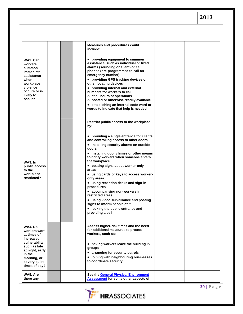| WA2. Can<br>workers<br>summon<br>immediate<br>assistance<br>when<br>workplace<br>violence<br>occurs or is<br>likely to<br>occur?                                    |  | <b>Measures and procedures could</b><br>include:<br>• providing equipment to summon<br>assistance, such as individual or fixed<br>alarms (sounding or silent) or cell<br>phones (pre-programmed to call an<br>emergency number)<br>• providing GPS tracking devices or<br>other locating devices<br>• providing internal and external<br>numbers for workers to call<br>$\circ$ at all hours of operations<br>$\circ$ posted or otherwise readily available<br>• establishing an internal code word or<br>words to indicate that help is needed                                                                                                   |  |
|---------------------------------------------------------------------------------------------------------------------------------------------------------------------|--|---------------------------------------------------------------------------------------------------------------------------------------------------------------------------------------------------------------------------------------------------------------------------------------------------------------------------------------------------------------------------------------------------------------------------------------------------------------------------------------------------------------------------------------------------------------------------------------------------------------------------------------------------|--|
| WA3. Is<br>public access<br>to the<br>workplace<br>restricted?                                                                                                      |  | Restrict public access to the workplace<br>by:<br>• providing a single entrance for clients<br>and controlling access to other doors<br>• installing security alarms on outside<br>doors<br>• installing door chimes or other means<br>to notify workers when someone enters<br>the workplace<br>• posting signs about worker-only<br>areas<br>• using cards or keys to access worker-<br>only areas<br>• using reception desks and sign-in<br>procedures<br>• accompanying non-workers in<br>restricted areas<br>• using video surveillance and posting<br>signs to inform people of it<br>• locking the public entrance and<br>providing a bell |  |
| WA4. Do<br>workers work<br>at times of<br>increased<br>vulnerability,<br>such as late<br>at night, early<br>in the<br>morning, or<br>at very quiet<br>times of day? |  | Assess higher-risk times and the need<br>for additional measures to protect<br>workers, such as:<br>• having workers leave the building in<br>groups<br>• arranging for security patrols<br>• joining with neighbouring businesses<br>to coordinate security                                                                                                                                                                                                                                                                                                                                                                                      |  |
| WA5. Are<br>there any                                                                                                                                               |  | See the General Physical Environment<br><b>Assessment</b> for some other aspects of                                                                                                                                                                                                                                                                                                                                                                                                                                                                                                                                                               |  |

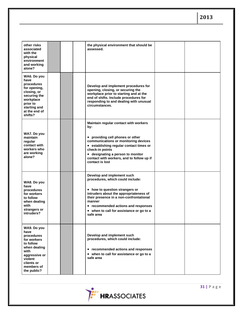| other risks<br>associated<br>with the<br>physical<br>environment<br>and working<br>alone?                                                                    |  | the physical environment that should be<br>assessed.                                                                                                                                                                                                                                            |  |
|--------------------------------------------------------------------------------------------------------------------------------------------------------------|--|-------------------------------------------------------------------------------------------------------------------------------------------------------------------------------------------------------------------------------------------------------------------------------------------------|--|
| WA6. Do you<br>have<br>procedures<br>for opening,<br>closing, or<br>securing the<br>workplace<br>prior to<br>starting and<br>at the end of<br>shifts?        |  | Develop and implement procedures for<br>opening, closing, or securing the<br>workplace prior to starting and at the<br>end of shifts. Include procedures for<br>responding to and dealing with unusual<br>circumstances.                                                                        |  |
| WA7. Do you<br>maintain<br>regular<br>contact with<br>workers who<br>are working<br>alone?                                                                   |  | Maintain regular contact with workers<br>by:<br>• providing cell phones or other<br>communications or monitoring devices<br>• establishing regular contact times or<br>check-in points<br>• designating a person to monitor<br>contact with workers, and to follow up if<br>contact is lost     |  |
| WA8. Do you<br>have<br>procedures<br>for workers<br>to follow<br>when dealing<br>with<br>strangers or<br>intruders?                                          |  | Develop and implement such<br>procedures, which could include:<br>• how to question strangers or<br>intruders about the appropriateness of<br>their presence in a non-confrontational<br>manner<br>• recommended actions and responses<br>• when to call for assistance or go to a<br>safe area |  |
| WA9. Do you<br>have<br>procedures<br>for workers<br>to follow<br>when dealing<br>with<br>aggressive or<br>violent<br>clients or<br>members of<br>the public? |  | Develop and implement such<br>procedures, which could include:<br>• recommended actions and responses<br>• when to call for assistance or go to a<br>safe area                                                                                                                                  |  |